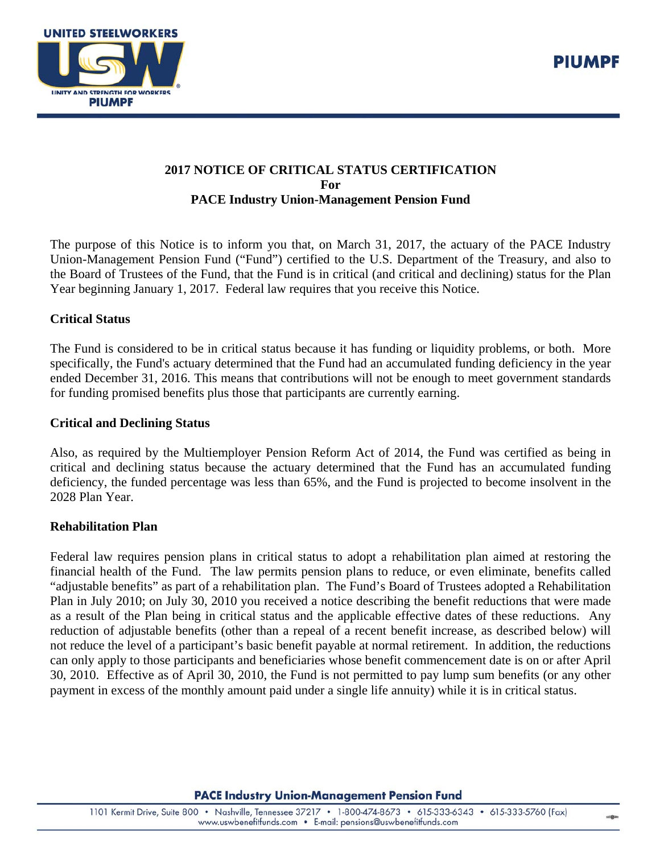

# **2017 NOTICE OF CRITICAL STATUS CERTIFICATION For PACE Industry Union-Management Pension Fund**

The purpose of this Notice is to inform you that, on March 31, 2017, the actuary of the PACE Industry Union-Management Pension Fund ("Fund") certified to the U.S. Department of the Treasury, and also to the Board of Trustees of the Fund, that the Fund is in critical (and critical and declining) status for the Plan Year beginning January 1, 2017. Federal law requires that you receive this Notice.

### **Critical Status**

The Fund is considered to be in critical status because it has funding or liquidity problems, or both. More specifically, the Fund's actuary determined that the Fund had an accumulated funding deficiency in the year ended December 31, 2016. This means that contributions will not be enough to meet government standards for funding promised benefits plus those that participants are currently earning.

#### **Critical and Declining Status**

Also, as required by the Multiemployer Pension Reform Act of 2014, the Fund was certified as being in critical and declining status because the actuary determined that the Fund has an accumulated funding deficiency, the funded percentage was less than 65%, and the Fund is projected to become insolvent in the 2028 Plan Year.

### **Rehabilitation Plan**

Federal law requires pension plans in critical status to adopt a rehabilitation plan aimed at restoring the financial health of the Fund. The law permits pension plans to reduce, or even eliminate, benefits called "adjustable benefits" as part of a rehabilitation plan. The Fund's Board of Trustees adopted a Rehabilitation Plan in July 2010; on July 30, 2010 you received a notice describing the benefit reductions that were made as a result of the Plan being in critical status and the applicable effective dates of these reductions. Any reduction of adjustable benefits (other than a repeal of a recent benefit increase, as described below) will not reduce the level of a participant's basic benefit payable at normal retirement. In addition, the reductions can only apply to those participants and beneficiaries whose benefit commencement date is on or after April 30, 2010. Effective as of April 30, 2010, the Fund is not permitted to pay lump sum benefits (or any other payment in excess of the monthly amount paid under a single life annuity) while it is in critical status.

**PACE Industry Union-Management Pension Fund** 

山命